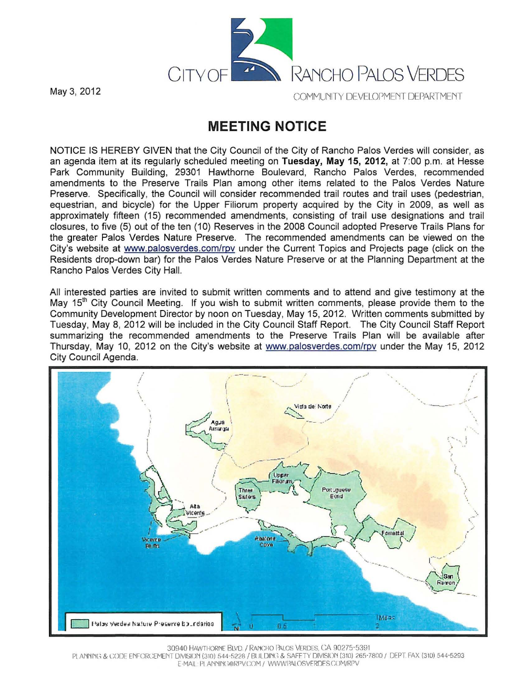

## **MEETING NOTICE**

NOTICE IS HEREBY GIVEN that the City Council of the City of Rancho Palos Verdes will consider, as an agenda item at its regularly scheduled meeting on **Tuesday, May 15, 2012,** at 7:00 p.m. at Hesse Park Community Building, 29301 Hawthorne Boulevard, Rancho Palos Verdes, recommended amendments to the Preserve Trails Plan among other items related to the Palos Verdes Nature Preserve. Specifically, the Council will consider recommended trail routes and trail uses (pedestrian, equestrian, and bicycle) for the Upper Filiorum property acquired by the City in 2009, as well as approximately fifteen (15) recommended amendments, consisting of trail use designations and trail closures, to five (5) out of the ten (10) Reserves in the 2008 Council adopted Preserve Trails Plans for the greater Palos Verdes Nature Preserve. The recommended amendments can be viewed on the City's website at www.palosverdes.com/rpv under the Current Topics and Projects page (click on the Residents drop-down bar) for the Palos Verdes Nature Preserve or at the Planning Department at the Rancho Palos Verdes City Hall.

All interested parties are invited to submit written comments and to attend and give testimony at the May  $15<sup>th</sup>$  City Council Meeting. If you wish to submit written comments, please provide them to the Community Development Director by noon on Tuesday, May 15, 2012. Written comments submitted by Tuesday, May 8, 2012 will be included in the City Council Staff Report. The City Council Staff Report summarizing the recommended amendments to the Preserve Trails Plan will be available after Thursday, May 10, 2012 on the City's website at www.palosverdes.comirpv under the May 15, 2012 City Council Agenda.



30940 HAWTHORNE BLVD. / RANCHO PALOS VERDES, CA 90275-5391

PL ANNING & CODE ENFORCEMENT DIVISION (310) 544-5228 / BUILDING & SAFETY DIVISION (310) 265-7800 / DEPT. FAX (310) 544-5293  $E$ -MAIL PLANNING@RPVCOM / WWWPALOSVERDESCOM/RPV